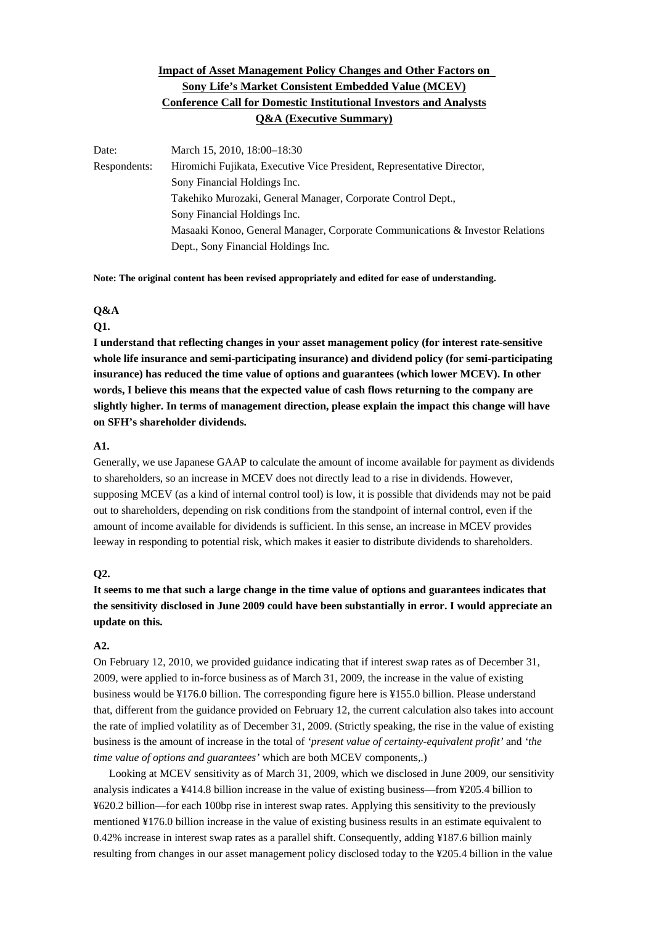# **Impact of Asset Management Policy Changes and Other Factors on Sony Life's Market Consistent Embedded Value (MCEV) Conference Call for Domestic Institutional Investors and Analysts Q&A (Executive Summary)**

Date: March 15, 2010, 18:00–18:30 Respondents: Hiromichi Fujikata, Executive Vice President, Representative Director, Sony Financial Holdings Inc. Takehiko Murozaki, General Manager, Corporate Control Dept., Sony Financial Holdings Inc. Masaaki Konoo, General Manager, Corporate Communications & Investor Relations Dept., Sony Financial Holdings Inc.

**Note: The original content has been revised appropriately and edited for ease of understanding.**

### **Q&A**

#### **Q1.**

**I understand that reflecting changes in your asset management policy (for interest rate-sensitive whole life insurance and semi-participating insurance) and dividend policy (for semi-participating insurance) has reduced the time value of options and guarantees (which lower MCEV). In other words, I believe this means that the expected value of cash flows returning to the company are slightly higher. In terms of management direction, please explain the impact this change will have on SFH's shareholder dividends.** 

#### **A1.**

Generally, we use Japanese GAAP to calculate the amount of income available for payment as dividends to shareholders, so an increase in MCEV does not directly lead to a rise in dividends. However, supposing MCEV (as a kind of internal control tool) is low, it is possible that dividends may not be paid out to shareholders, depending on risk conditions from the standpoint of internal control, even if the amount of income available for dividends is sufficient. In this sense, an increase in MCEV provides leeway in responding to potential risk, which makes it easier to distribute dividends to shareholders.

### **Q2.**

**It seems to me that such a large change in the time value of options and guarantees indicates that the sensitivity disclosed in June 2009 could have been substantially in error. I would appreciate an update on this.** 

# **A2.**

On February 12, 2010, we provided guidance indicating that if interest swap rates as of December 31, 2009, were applied to in-force business as of March 31, 2009, the increase in the value of existing business would be ¥176.0 billion. The corresponding figure here is ¥155.0 billion. Please understand that, different from the guidance provided on February 12, the current calculation also takes into account the rate of implied volatility as of December 31, 2009. (Strictly speaking, the rise in the value of existing business is the amount of increase in the total of *'present value of certainty-equivalent profit'* and *'the time value of options and guarantees'* which are both MCEV components,.)

 Looking at MCEV sensitivity as of March 31, 2009, which we disclosed in June 2009, our sensitivity analysis indicates a ¥414.8 billion increase in the value of existing business—from ¥205.4 billion to ¥620.2 billion—for each 100bp rise in interest swap rates. Applying this sensitivity to the previously mentioned ¥176.0 billion increase in the value of existing business results in an estimate equivalent to 0.42% increase in interest swap rates as a parallel shift. Consequently, adding ¥187.6 billion mainly resulting from changes in our asset management policy disclosed today to the ¥205.4 billion in the value